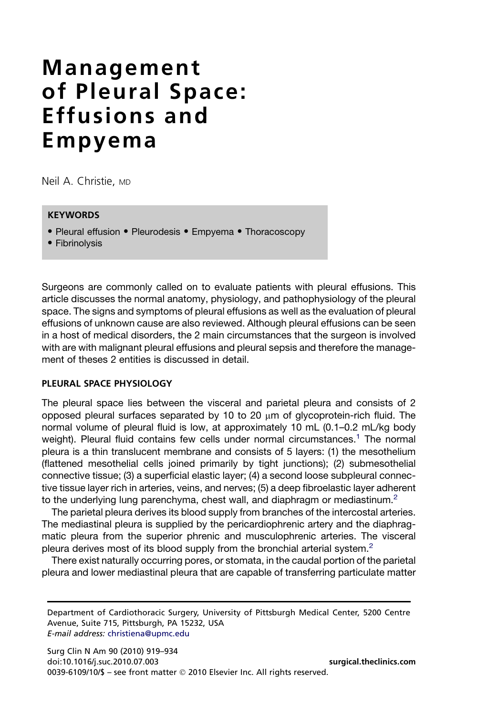# Management of Pleural Space: Effusions and Empyema

Neil A. Christie, MD

### **KEYWORDS**

- Pleural effusion Pleurodesis Empyema Thoracoscopy
- Fibrinolysis

Surgeons are commonly called on to evaluate patients with pleural effusions. This article discusses the normal anatomy, physiology, and pathophysiology of the pleural space. The signs and symptoms of pleural effusions as well as the evaluation of pleural effusions of unknown cause are also reviewed. Although pleural effusions can be seen in a host of medical disorders, the 2 main circumstances that the surgeon is involved with are with malignant pleural effusions and pleural sepsis and therefore the management of theses 2 entities is discussed in detail.

#### PLEURAL SPACE PHYSIOLOGY

The pleural space lies between the visceral and parietal pleura and consists of 2 opposed pleural surfaces separated by 10 to 20  $\mu$ m of glycoprotein-rich fluid. The normal volume of pleural fluid is low, at approximately 10 mL (0.1–0.2 mL/kg body weight). Pleural fluid contains few cells under normal circumstances.<sup>[1](#page-13-0)</sup> The normal pleura is a thin translucent membrane and consists of 5 layers: (1) the mesothelium (flattened mesothelial cells joined primarily by tight junctions); (2) submesothelial connective tissue; (3) a superficial elastic layer; (4) a second loose subpleural connective tissue layer rich in arteries, veins, and nerves; (5) a deep fibroelastic layer adherent to the underlying lung parenchyma, chest wall, and diaphragm or mediastinum.<sup>[2](#page-13-0)</sup>

The parietal pleura derives its blood supply from branches of the intercostal arteries. The mediastinal pleura is supplied by the pericardiophrenic artery and the diaphragmatic pleura from the superior phrenic and musculophrenic arteries. The visceral pleura derives most of its blood supply from the bronchial arterial system.<sup>[2](#page-13-0)</sup>

There exist naturally occurring pores, or stomata, in the caudal portion of the parietal pleura and lower mediastinal pleura that are capable of transferring particulate matter

Department of Cardiothoracic Surgery, University of Pittsburgh Medical Center, 5200 Centre Avenue, Suite 715, Pittsburgh, PA 15232, USA E-mail address: [christiena@upmc.edu](mailto:christiena@upmc.edu)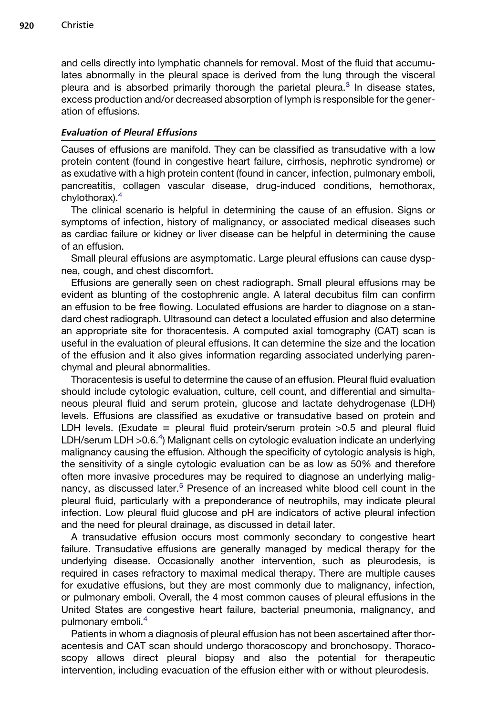and cells directly into lymphatic channels for removal. Most of the fluid that accumulates abnormally in the pleural space is derived from the lung through the visceral pleura and is absorbed primarily thorough the parietal pleura. $3$  In disease states, excess production and/or decreased absorption of lymph is responsible for the generation of effusions.

#### **Evaluation of Pleural Effusions** Evaluation of Pleural Effusions

Causes of effusions are manifold. They can be classified as transudative with a low protein content (found in congestive heart failure, cirrhosis, nephrotic syndrome) or as exudative with a high protein content (found in cancer, infection, pulmonary emboli, pancreatitis, collagen vascular disease, drug-induced conditions, hemothorax, chylothorax).[4](#page-13-0)

The clinical scenario is helpful in determining the cause of an effusion. Signs or symptoms of infection, history of malignancy, or associated medical diseases such as cardiac failure or kidney or liver disease can be helpful in determining the cause of an effusion.

Small pleural effusions are asymptomatic. Large pleural effusions can cause dyspnea, cough, and chest discomfort.

Effusions are generally seen on chest radiograph. Small pleural effusions may be evident as blunting of the costophrenic angle. A lateral decubitus film can confirm an effusion to be free flowing. Loculated effusions are harder to diagnose on a standard chest radiograph. Ultrasound can detect a loculated effusion and also determine an appropriate site for thoracentesis. A computed axial tomography (CAT) scan is useful in the evaluation of pleural effusions. It can determine the size and the location of the effusion and it also gives information regarding associated underlying parenchymal and pleural abnormalities.

Thoracentesis is useful to determine the cause of an effusion. Pleural fluid evaluation should include cytologic evaluation, culture, cell count, and differential and simultaneous pleural fluid and serum protein, glucose and lactate dehydrogenase (LDH) levels. Effusions are classified as exudative or transudative based on protein and LDH levels. (Exudate  $=$  pleural fluid protein/serum protein >0.5 and pleural fluid LDH/serum LDH > 0.6.<sup>[4](#page-13-0)</sup>) Malignant cells on cytologic evaluation indicate an underlying malignancy causing the effusion. Although the specificity of cytologic analysis is high, the sensitivity of a single cytologic evaluation can be as low as 50% and therefore often more invasive procedures may be required to diagnose an underlying malig-nancy, as discussed later.<sup>[5](#page-13-0)</sup> Presence of an increased white blood cell count in the pleural fluid, particularly with a preponderance of neutrophils, may indicate pleural infection. Low pleural fluid glucose and pH are indicators of active pleural infection and the need for pleural drainage, as discussed in detail later.

A transudative effusion occurs most commonly secondary to congestive heart failure. Transudative effusions are generally managed by medical therapy for the underlying disease. Occasionally another intervention, such as pleurodesis, is required in cases refractory to maximal medical therapy. There are multiple causes for exudative effusions, but they are most commonly due to malignancy, infection, or pulmonary emboli. Overall, the 4 most common causes of pleural effusions in the United States are congestive heart failure, bacterial pneumonia, malignancy, and pulmonary emboli.<sup>[4](#page-13-0)</sup>

Patients in whom a diagnosis of pleural effusion has not been ascertained after thoracentesis and CAT scan should undergo thoracoscopy and bronchosopy. Thoracoscopy allows direct pleural biopsy and also the potential for therapeutic intervention, including evacuation of the effusion either with or without pleurodesis.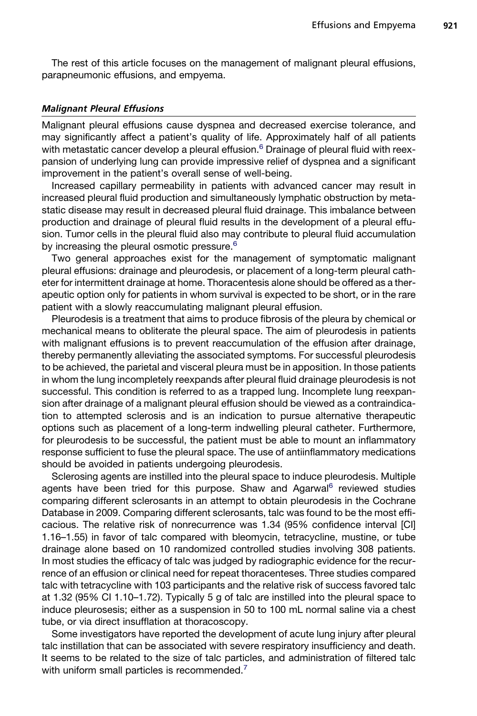The rest of this article focuses on the management of malignant pleural effusions, parapneumonic effusions, and empyema.

#### Malignant Pleural Effusions

Malignant pleural effusions cause dyspnea and decreased exercise tolerance, and may significantly affect a patient's quality of life. Approximately half of all patients with metastatic cancer develop a pleural effusion. $6$  Drainage of pleural fluid with reexpansion of underlying lung can provide impressive relief of dyspnea and a significant improvement in the patient's overall sense of well-being.

Increased capillary permeability in patients with advanced cancer may result in increased pleural fluid production and simultaneously lymphatic obstruction by metastatic disease may result in decreased pleural fluid drainage. This imbalance between production and drainage of pleural fluid results in the development of a pleural effusion. Tumor cells in the pleural fluid also may contribute to pleural fluid accumulation by increasing the pleural osmotic pressure.<sup>6</sup>

Two general approaches exist for the management of symptomatic malignant pleural effusions: drainage and pleurodesis, or placement of a long-term pleural catheter for intermittent drainage at home. Thoracentesis alone should be offered as a therapeutic option only for patients in whom survival is expected to be short, or in the rare patient with a slowly reaccumulating malignant pleural effusion.

Pleurodesis is a treatment that aims to produce fibrosis of the pleura by chemical or mechanical means to obliterate the pleural space. The aim of pleurodesis in patients with malignant effusions is to prevent reaccumulation of the effusion after drainage, thereby permanently alleviating the associated symptoms. For successful pleurodesis to be achieved, the parietal and visceral pleura must be in apposition. In those patients in whom the lung incompletely reexpands after pleural fluid drainage pleurodesis is not successful. This condition is referred to as a trapped lung. Incomplete lung reexpansion after drainage of a malignant pleural effusion should be viewed as a contraindication to attempted sclerosis and is an indication to pursue alternative therapeutic options such as placement of a long-term indwelling pleural catheter. Furthermore, for pleurodesis to be successful, the patient must be able to mount an inflammatory response sufficient to fuse the pleural space. The use of antiinflammatory medications should be avoided in patients undergoing pleurodesis.

Sclerosing agents are instilled into the pleural space to induce pleurodesis. Multiple agents have been tried for this purpose. Shaw and Agarwal<sup>[6](#page-13-0)</sup> reviewed studies comparing different sclerosants in an attempt to obtain pleurodesis in the Cochrane Database in 2009. Comparing different sclerosants, talc was found to be the most efficacious. The relative risk of nonrecurrence was 1.34 (95% confidence interval [CI] 1.16–1.55) in favor of talc compared with bleomycin, tetracycline, mustine, or tube drainage alone based on 10 randomized controlled studies involving 308 patients. In most studies the efficacy of talc was judged by radiographic evidence for the recurrence of an effusion or clinical need for repeat thoracenteses. Three studies compared talc with tetracycline with 103 participants and the relative risk of success favored talc at 1.32 (95% CI 1.10–1.72). Typically 5 g of talc are instilled into the pleural space to induce pleurosesis; either as a suspension in 50 to 100 mL normal saline via a chest tube, or via direct insufflation at thoracoscopy.

Some investigators have reported the development of acute lung injury after pleural talc instillation that can be associated with severe respiratory insufficiency and death. It seems to be related to the size of talc particles, and administration of filtered talc with uniform small particles is recommended.<sup>[7](#page-13-0)</sup>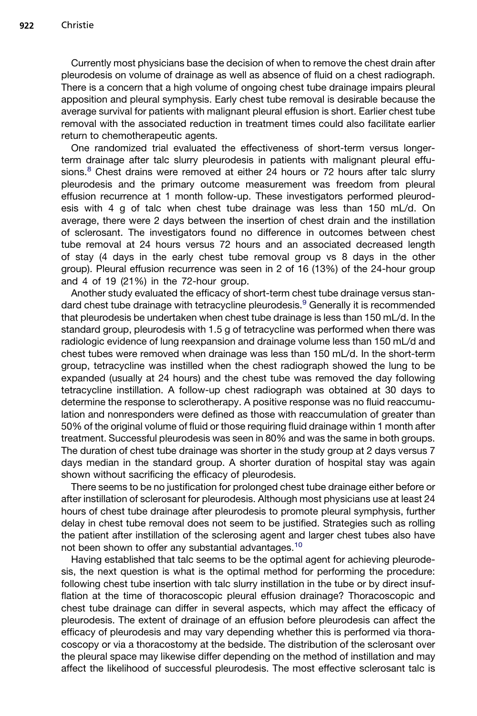Currently most physicians base the decision of when to remove the chest drain after pleurodesis on volume of drainage as well as absence of fluid on a chest radiograph. There is a concern that a high volume of ongoing chest tube drainage impairs pleural apposition and pleural symphysis. Early chest tube removal is desirable because the average survival for patients with malignant pleural effusion is short. Earlier chest tube removal with the associated reduction in treatment times could also facilitate earlier return to chemotherapeutic agents.

One randomized trial evaluated the effectiveness of short-term versus longerterm drainage after talc slurry pleurodesis in patients with malignant pleural effu-sions.<sup>[8](#page-13-0)</sup> Chest drains were removed at either 24 hours or 72 hours after talc slurry pleurodesis and the primary outcome measurement was freedom from pleural effusion recurrence at 1 month follow-up. These investigators performed pleurodesis with 4 g of talc when chest tube drainage was less than 150 mL/d. On average, there were 2 days between the insertion of chest drain and the instillation of sclerosant. The investigators found no difference in outcomes between chest tube removal at 24 hours versus 72 hours and an associated decreased length of stay (4 days in the early chest tube removal group vs 8 days in the other group). Pleural effusion recurrence was seen in 2 of 16 (13%) of the 24-hour group and 4 of 19 (21%) in the 72-hour group.

Another study evaluated the efficacy of short-term chest tube drainage versus stan-dard chest tube drainage with tetracycline pleurodesis.<sup>[9](#page-13-0)</sup> Generally it is recommended that pleurodesis be undertaken when chest tube drainage is less than 150 mL/d. In the standard group, pleurodesis with 1.5 g of tetracycline was performed when there was radiologic evidence of lung reexpansion and drainage volume less than 150 mL/d and chest tubes were removed when drainage was less than 150 mL/d. In the short-term group, tetracycline was instilled when the chest radiograph showed the lung to be expanded (usually at 24 hours) and the chest tube was removed the day following tetracycline instillation. A follow-up chest radiograph was obtained at 30 days to determine the response to sclerotherapy. A positive response was no fluid reaccumulation and nonresponders were defined as those with reaccumulation of greater than 50% of the original volume of fluid or those requiring fluid drainage within 1 month after treatment. Successful pleurodesis was seen in 80% and was the same in both groups. The duration of chest tube drainage was shorter in the study group at 2 days versus 7 days median in the standard group. A shorter duration of hospital stay was again shown without sacrificing the efficacy of pleurodesis.

There seems to be no justification for prolonged chest tube drainage either before or after instillation of sclerosant for pleurodesis. Although most physicians use at least 24 hours of chest tube drainage after pleurodesis to promote pleural symphysis, further delay in chest tube removal does not seem to be justified. Strategies such as rolling the patient after instillation of the sclerosing agent and larger chest tubes also have not been shown to offer any substantial advantages.<sup>[10](#page-13-0)</sup>

Having established that talc seems to be the optimal agent for achieving pleurodesis, the next question is what is the optimal method for performing the procedure: following chest tube insertion with talc slurry instillation in the tube or by direct insufflation at the time of thoracoscopic pleural effusion drainage? Thoracoscopic and chest tube drainage can differ in several aspects, which may affect the efficacy of pleurodesis. The extent of drainage of an effusion before pleurodesis can affect the efficacy of pleurodesis and may vary depending whether this is performed via thoracoscopy or via a thoracostomy at the bedside. The distribution of the sclerosant over the pleural space may likewise differ depending on the method of instillation and may affect the likelihood of successful pleurodesis. The most effective sclerosant talc is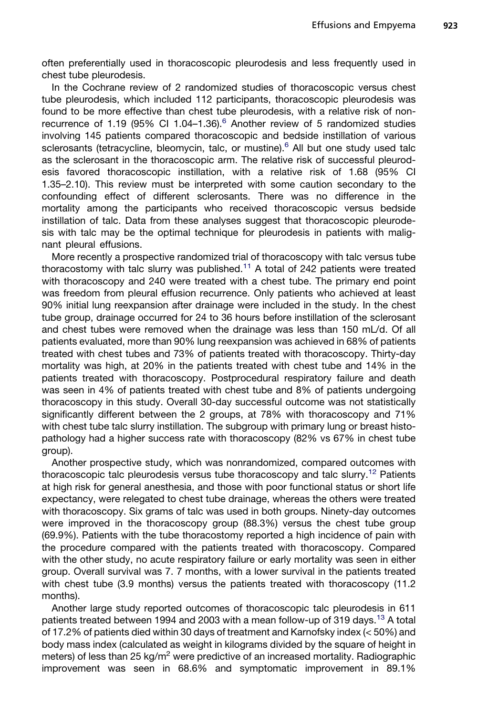often preferentially used in thoracoscopic pleurodesis and less frequently used in chest tube pleurodesis.

In the Cochrane review of 2 randomized studies of thoracoscopic versus chest tube pleurodesis, which included 112 participants, thoracoscopic pleurodesis was found to be more effective than chest tube pleurodesis, with a relative risk of non-recurrence of 1.19 (95% CI 1.04–1.3[6](#page-13-0)).<sup>6</sup> Another review of 5 randomized studies involving 145 patients compared thoracoscopic and bedside instillation of various sclerosants (tetracycline, bleomycin, talc, or mustine).<sup>[6](#page-13-0)</sup> All but one study used talc as the sclerosant in the thoracoscopic arm. The relative risk of successful pleurodesis favored thoracoscopic instillation, with a relative risk of 1.68 (95% CI 1.35–2.10). This review must be interpreted with some caution secondary to the confounding effect of different sclerosants. There was no difference in the mortality among the participants who received thoracoscopic versus bedside instillation of talc. Data from these analyses suggest that thoracoscopic pleurodesis with talc may be the optimal technique for pleurodesis in patients with malignant pleural effusions.

More recently a prospective randomized trial of thoracoscopy with talc versus tube thoracostomy with talc slurry was published.<sup>[11](#page-13-0)</sup> A total of 242 patients were treated with thoracoscopy and 240 were treated with a chest tube. The primary end point was freedom from pleural effusion recurrence. Only patients who achieved at least 90% initial lung reexpansion after drainage were included in the study. In the chest tube group, drainage occurred for 24 to 36 hours before instillation of the sclerosant and chest tubes were removed when the drainage was less than 150 mL/d. Of all patients evaluated, more than 90% lung reexpansion was achieved in 68% of patients treated with chest tubes and 73% of patients treated with thoracoscopy. Thirty-day mortality was high, at 20% in the patients treated with chest tube and 14% in the patients treated with thoracoscopy. Postprocedural respiratory failure and death was seen in 4% of patients treated with chest tube and 8% of patients undergoing thoracoscopy in this study. Overall 30-day successful outcome was not statistically significantly different between the 2 groups, at 78% with thoracoscopy and 71% with chest tube talc slurry instillation. The subgroup with primary lung or breast histopathology had a higher success rate with thoracoscopy (82% vs 67% in chest tube group).

Another prospective study, which was nonrandomized, compared outcomes with thoracoscopic talc pleurodesis versus tube thoracoscopy and talc slurry.<sup>[12](#page-13-0)</sup> Patients at high risk for general anesthesia, and those with poor functional status or short life expectancy, were relegated to chest tube drainage, whereas the others were treated with thoracoscopy. Six grams of talc was used in both groups. Ninety-day outcomes were improved in the thoracoscopy group (88.3%) versus the chest tube group (69.9%). Patients with the tube thoracostomy reported a high incidence of pain with the procedure compared with the patients treated with thoracoscopy. Compared with the other study, no acute respiratory failure or early mortality was seen in either group. Overall survival was 7. 7 months, with a lower survival in the patients treated with chest tube (3.9 months) versus the patients treated with thoracoscopy (11.2 months).

Another large study reported outcomes of thoracoscopic talc pleurodesis in 611 patients treated between 1994 and 2003 with a mean follow-up of 319 days.[13](#page-13-0) A total of 17.2% of patients died within 30 days of treatment and Karnofsky index (< 50%) and body mass index (calculated as weight in kilograms divided by the square of height in meters) of less than 25 kg/m<sup>2</sup> were predictive of an increased mortality. Radiographic improvement was seen in 68.6% and symptomatic improvement in 89.1%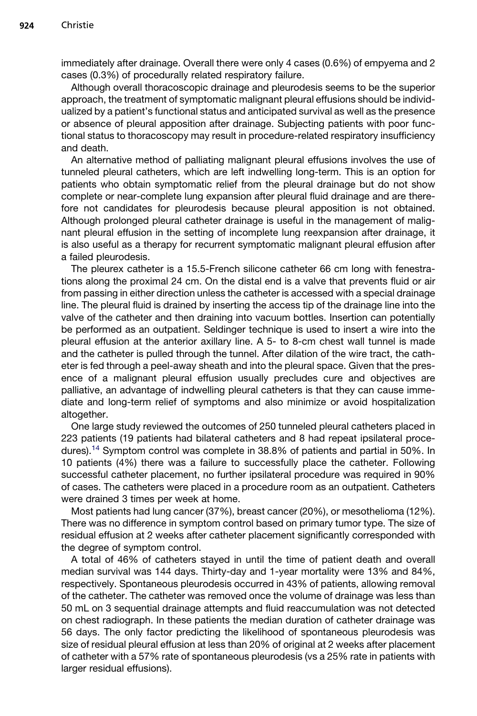immediately after drainage. Overall there were only 4 cases (0.6%) of empyema and 2 cases (0.3%) of procedurally related respiratory failure.

Although overall thoracoscopic drainage and pleurodesis seems to be the superior approach, the treatment of symptomatic malignant pleural effusions should be individualized by a patient's functional status and anticipated survival as well as the presence or absence of pleural apposition after drainage. Subjecting patients with poor functional status to thoracoscopy may result in procedure-related respiratory insufficiency and death.

An alternative method of palliating malignant pleural effusions involves the use of tunneled pleural catheters, which are left indwelling long-term. This is an option for patients who obtain symptomatic relief from the pleural drainage but do not show complete or near-complete lung expansion after pleural fluid drainage and are therefore not candidates for pleurodesis because pleural apposition is not obtained. Although prolonged pleural catheter drainage is useful in the management of malignant pleural effusion in the setting of incomplete lung reexpansion after drainage, it is also useful as a therapy for recurrent symptomatic malignant pleural effusion after a failed pleurodesis.

The pleurex catheter is a 15.5-French silicone catheter 66 cm long with fenestrations along the proximal 24 cm. On the distal end is a valve that prevents fluid or air from passing in either direction unless the catheter is accessed with a special drainage line. The pleural fluid is drained by inserting the access tip of the drainage line into the valve of the catheter and then draining into vacuum bottles. Insertion can potentially be performed as an outpatient. Seldinger technique is used to insert a wire into the pleural effusion at the anterior axillary line. A 5- to 8-cm chest wall tunnel is made and the catheter is pulled through the tunnel. After dilation of the wire tract, the catheter is fed through a peel-away sheath and into the pleural space. Given that the presence of a malignant pleural effusion usually precludes cure and objectives are palliative, an advantage of indwelling pleural catheters is that they can cause immediate and long-term relief of symptoms and also minimize or avoid hospitalization altogether.

One large study reviewed the outcomes of 250 tunneled pleural catheters placed in 223 patients (19 patients had bilateral catheters and 8 had repeat ipsilateral procedures).[14](#page-13-0) Symptom control was complete in 38.8% of patients and partial in 50%. In 10 patients (4%) there was a failure to successfully place the catheter. Following successful catheter placement, no further ipsilateral procedure was required in 90% of cases. The catheters were placed in a procedure room as an outpatient. Catheters were drained 3 times per week at home.

Most patients had lung cancer (37%), breast cancer (20%), or mesothelioma (12%). There was no difference in symptom control based on primary tumor type. The size of residual effusion at 2 weeks after catheter placement significantly corresponded with the degree of symptom control.

A total of 46% of catheters stayed in until the time of patient death and overall median survival was 144 days. Thirty-day and 1-year mortality were 13% and 84%, respectively. Spontaneous pleurodesis occurred in 43% of patients, allowing removal of the catheter. The catheter was removed once the volume of drainage was less than 50 mL on 3 sequential drainage attempts and fluid reaccumulation was not detected on chest radiograph. In these patients the median duration of catheter drainage was 56 days. The only factor predicting the likelihood of spontaneous pleurodesis was size of residual pleural effusion at less than 20% of original at 2 weeks after placement of catheter with a 57% rate of spontaneous pleurodesis (vs a 25% rate in patients with larger residual effusions).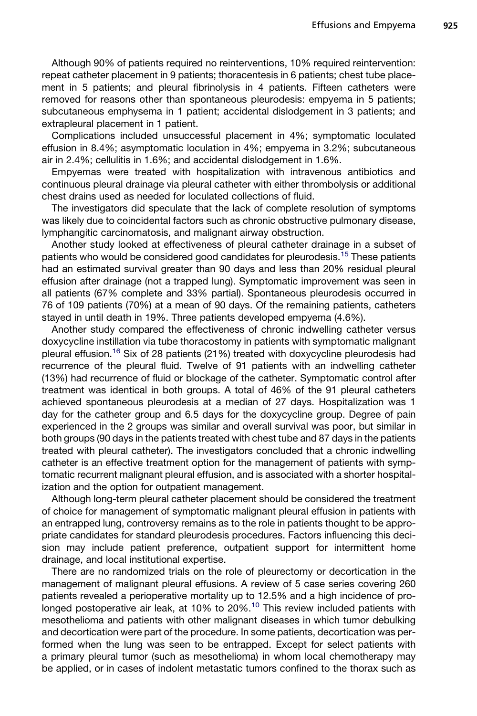Although 90% of patients required no reinterventions, 10% required reintervention: repeat catheter placement in 9 patients; thoracentesis in 6 patients; chest tube placement in 5 patients; and pleural fibrinolysis in 4 patients. Fifteen catheters were removed for reasons other than spontaneous pleurodesis: empyema in 5 patients; subcutaneous emphysema in 1 patient; accidental dislodgement in 3 patients; and extrapleural placement in 1 patient.

Complications included unsuccessful placement in 4%; symptomatic loculated effusion in 8.4%; asymptomatic loculation in 4%; empyema in 3.2%; subcutaneous air in 2.4%; cellulitis in 1.6%; and accidental dislodgement in 1.6%.

Empyemas were treated with hospitalization with intravenous antibiotics and continuous pleural drainage via pleural catheter with either thrombolysis or additional chest drains used as needed for loculated collections of fluid.

The investigators did speculate that the lack of complete resolution of symptoms was likely due to coincidental factors such as chronic obstructive pulmonary disease, lymphangitic carcinomatosis, and malignant airway obstruction.

Another study looked at effectiveness of pleural catheter drainage in a subset of patients who would be considered good candidates for pleurodesis.<sup>[15](#page-13-0)</sup> These patients had an estimated survival greater than 90 days and less than 20% residual pleural effusion after drainage (not a trapped lung). Symptomatic improvement was seen in all patients (67% complete and 33% partial). Spontaneous pleurodesis occurred in 76 of 109 patients (70%) at a mean of 90 days. Of the remaining patients, catheters stayed in until death in 19%. Three patients developed empyema (4.6%).

Another study compared the effectiveness of chronic indwelling catheter versus doxycycline instillation via tube thoracostomy in patients with symptomatic malignant pleural effusion.[16](#page-13-0) Six of 28 patients (21%) treated with doxycycline pleurodesis had recurrence of the pleural fluid. Twelve of 91 patients with an indwelling catheter (13%) had recurrence of fluid or blockage of the catheter. Symptomatic control after treatment was identical in both groups. A total of 46% of the 91 pleural catheters achieved spontaneous pleurodesis at a median of 27 days. Hospitalization was 1 day for the catheter group and 6.5 days for the doxycycline group. Degree of pain experienced in the 2 groups was similar and overall survival was poor, but similar in both groups (90 days in the patients treated with chest tube and 87 days in the patients treated with pleural catheter). The investigators concluded that a chronic indwelling catheter is an effective treatment option for the management of patients with symptomatic recurrent malignant pleural effusion, and is associated with a shorter hospitalization and the option for outpatient management.

Although long-term pleural catheter placement should be considered the treatment of choice for management of symptomatic malignant pleural effusion in patients with an entrapped lung, controversy remains as to the role in patients thought to be appropriate candidates for standard pleurodesis procedures. Factors influencing this decision may include patient preference, outpatient support for intermittent home drainage, and local institutional expertise.

There are no randomized trials on the role of pleurectomy or decortication in the management of malignant pleural effusions. A review of 5 case series covering 260 patients revealed a perioperative mortality up to 12.5% and a high incidence of pro-longed postoperative air leak, at [10](#page-13-0)% to  $20\%$ .<sup>10</sup> This review included patients with mesothelioma and patients with other malignant diseases in which tumor debulking and decortication were part of the procedure. In some patients, decortication was performed when the lung was seen to be entrapped. Except for select patients with a primary pleural tumor (such as mesothelioma) in whom local chemotherapy may be applied, or in cases of indolent metastatic tumors confined to the thorax such as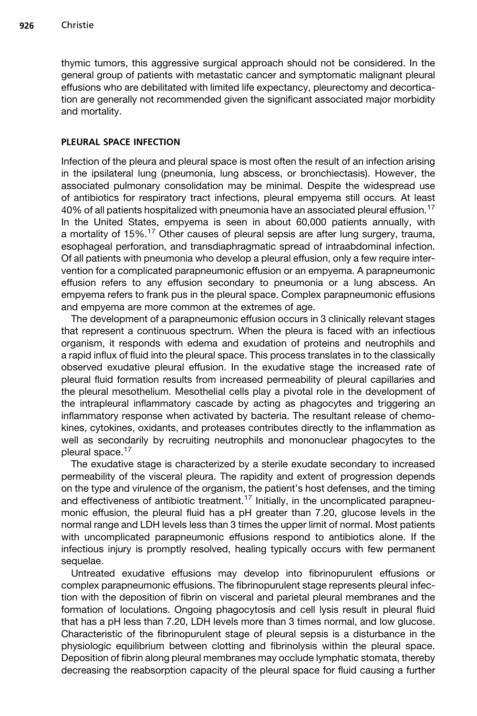thymic tumors, this aggressive surgical approach should not be considered. In the general group of patients with metastatic cancer and symptomatic malignant pleural effusions who are debilitated with limited life expectancy, pleurectomy and decortication are generally not recommended given the significant associated major morbidity and mortality.

#### PLEURAL SPACE INFECTION

Infection of the pleura and pleural space is most often the result of an infection arising in the ipsilateral lung (pneumonia, lung abscess, or bronchiectasis). However, the associated pulmonary consolidation may be minimal. Despite the widespread use of antibiotics for respiratory tract infections, pleural empyema still occurs. At least 40% of all patients hospitalized with pneumonia have an associated pleural effusion.[17](#page-14-0) In the United States, empyema is seen in about 60,000 patients annually, with a mortality of 15%.<sup>17</sup> Other causes of pleural sepsis are after lung surgery, trauma, esophageal perforation, and transdiaphragmatic spread of intraabdominal infection. Of all patients with pneumonia who develop a pleural effusion, only a few require intervention for a complicated parapneumonic effusion or an empyema. A parapneumonic effusion refers to any effusion secondary to pneumonia or a lung abscess. An empyema refers to frank pus in the pleural space. Complex parapneumonic effusions and empyema are more common at the extremes of age.

The development of a parapneumonic effusion occurs in 3 clinically relevant stages that represent a continuous spectrum. When the pleura is faced with an infectious organism, it responds with edema and exudation of proteins and neutrophils and a rapid influx of fluid into the pleural space. This process translates in to the classically observed exudative pleural effusion. In the exudative stage the increased rate of pleural fluid formation results from increased permeability of pleural capillaries and the pleural mesothelium. Mesothelial cells play a pivotal role in the development of the intrapleural inflammatory cascade by acting as phagocytes and triggering an inflammatory response when activated by bacteria. The resultant release of chemokines, cytokines, oxidants, and proteases contributes directly to the inflammation as well as secondarily by recruiting neutrophils and mononuclear phagocytes to the pleural space.<sup>[17](#page-14-0)</sup>

The exudative stage is characterized by a sterile exudate secondary to increased permeability of the visceral pleura. The rapidity and extent of progression depends on the type and virulence of the organism, the patient's host defenses, and the timing and effectiveness of antibiotic treatment.<sup>[17](#page-14-0)</sup> Initially, in the uncomplicated parapneumonic effusion, the pleural fluid has a pH greater than 7.20, glucose levels in the normal range and LDH levels less than 3 times the upper limit of normal. Most patients with uncomplicated parapneumonic effusions respond to antibiotics alone. If the infectious injury is promptly resolved, healing typically occurs with few permanent sequelae.

Untreated exudative effusions may develop into fibrinopurulent effusions or complex parapneumonic effusions. The fibrinopurulent stage represents pleural infection with the deposition of fibrin on visceral and parietal pleural membranes and the formation of loculations. Ongoing phagocytosis and cell lysis result in pleural fluid that has a pH less than 7.20, LDH levels more than 3 times normal, and low glucose. Characteristic of the fibrinopurulent stage of pleural sepsis is a disturbance in the physiologic equilibrium between clotting and fibrinolysis within the pleural space. Deposition of fibrin along pleural membranes may occlude lymphatic stomata, thereby decreasing the reabsorption capacity of the pleural space for fluid causing a further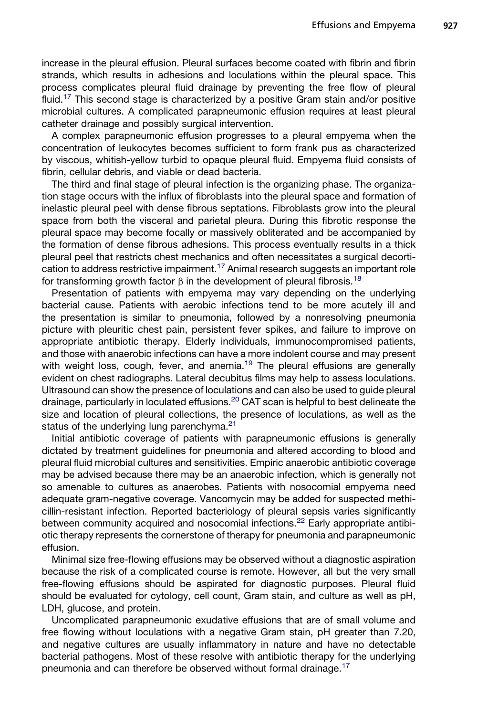increase in the pleural effusion. Pleural surfaces become coated with fibrin and fibrin strands, which results in adhesions and loculations within the pleural space. This process complicates pleural fluid drainage by preventing the free flow of pleural fluid.<sup>[17](#page-14-0)</sup> This second stage is characterized by a positive Gram stain and/or positive microbial cultures. A complicated parapneumonic effusion requires at least pleural catheter drainage and possibly surgical intervention.

A complex parapneumonic effusion progresses to a pleural empyema when the concentration of leukocytes becomes sufficient to form frank pus as characterized by viscous, whitish-yellow turbid to opaque pleural fluid. Empyema fluid consists of fibrin, cellular debris, and viable or dead bacteria.

The third and final stage of pleural infection is the organizing phase. The organization stage occurs with the influx of fibroblasts into the pleural space and formation of inelastic pleural peel with dense fibrous septations. Fibroblasts grow into the pleural space from both the visceral and parietal pleura. During this fibrotic response the pleural space may become focally or massively obliterated and be accompanied by the formation of dense fibrous adhesions. This process eventually results in a thick pleural peel that restricts chest mechanics and often necessitates a surgical decortication to address restrictive impairment.[17](#page-14-0) Animal research suggests an important role for transforming growth factor  $\beta$  in the development of pleural fibrosis.<sup>[18](#page-14-0)</sup>

Presentation of patients with empyema may vary depending on the underlying bacterial cause. Patients with aerobic infections tend to be more acutely ill and the presentation is similar to pneumonia, followed by a nonresolving pneumonia picture with pleuritic chest pain, persistent fever spikes, and failure to improve on appropriate antibiotic therapy. Elderly individuals, immunocompromised patients, and those with anaerobic infections can have a more indolent course and may present with weight loss, cough, fever, and anemia.<sup>[19](#page-14-0)</sup> The pleural effusions are generally evident on chest radiographs. Lateral decubitus films may help to assess loculations. Ultrasound can show the presence of loculations and can also be used to guide pleural drainage, particularly in loculated effusions.<sup>[20](#page-14-0)</sup> CAT scan is helpful to best delineate the size and location of pleural collections, the presence of loculations, as well as the status of the underlying lung parenchyma.<sup>[21](#page-14-0)</sup>

Initial antibiotic coverage of patients with parapneumonic effusions is generally dictated by treatment guidelines for pneumonia and altered according to blood and pleural fluid microbial cultures and sensitivities. Empiric anaerobic antibiotic coverage may be advised because there may be an anaerobic infection, which is generally not so amenable to cultures as anaerobes. Patients with nosocomial empyema need adequate gram-negative coverage. Vancomycin may be added for suspected methicillin-resistant infection. Reported bacteriology of pleural sepsis varies significantly between community acquired and nosocomial infections.<sup>[22](#page-14-0)</sup> Early appropriate antibiotic therapy represents the cornerstone of therapy for pneumonia and parapneumonic effusion.

Minimal size free-flowing effusions may be observed without a diagnostic aspiration because the risk of a complicated course is remote. However, all but the very small free-flowing effusions should be aspirated for diagnostic purposes. Pleural fluid should be evaluated for cytology, cell count, Gram stain, and culture as well as pH, LDH, glucose, and protein.

Uncomplicated parapneumonic exudative effusions that are of small volume and free flowing without loculations with a negative Gram stain, pH greater than 7.20, and negative cultures are usually inflammatory in nature and have no detectable bacterial pathogens. Most of these resolve with antibiotic therapy for the underlying pneumonia and can therefore be observed without formal drainage.<sup>[17](#page-14-0)</sup>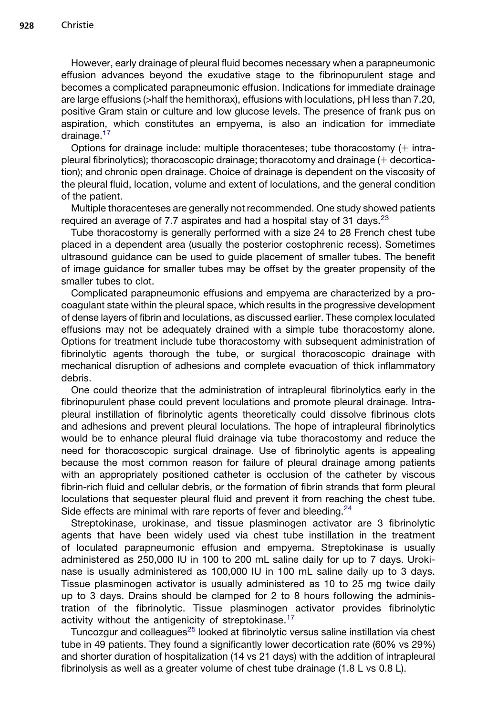However, early drainage of pleural fluid becomes necessary when a parapneumonic effusion advances beyond the exudative stage to the fibrinopurulent stage and becomes a complicated parapneumonic effusion. Indications for immediate drainage are large effusions (>half the hemithorax), effusions with loculations, pH less than 7.20, positive Gram stain or culture and low glucose levels. The presence of frank pus on aspiration, which constitutes an empyema, is also an indication for immediate drainage.<sup>[17](#page-14-0)</sup>

Options for drainage include: multiple thoracenteses; tube thoracostomy  $( \pm )$  intrapleural fibrinolytics); thoracoscopic drainage; thoracotomy and drainage  $(\pm$  decortication); and chronic open drainage. Choice of drainage is dependent on the viscosity of the pleural fluid, location, volume and extent of loculations, and the general condition of the patient.

Multiple thoracenteses are generally not recommended. One study showed patients required an average of 7.7 aspirates and had a hospital stay of 31 days.  $2^3$ 

Tube thoracostomy is generally performed with a size 24 to 28 French chest tube placed in a dependent area (usually the posterior costophrenic recess). Sometimes ultrasound guidance can be used to guide placement of smaller tubes. The benefit of image guidance for smaller tubes may be offset by the greater propensity of the smaller tubes to clot.

Complicated parapneumonic effusions and empyema are characterized by a procoagulant state within the pleural space, which results in the progressive development of dense layers of fibrin and loculations, as discussed earlier. These complex loculated effusions may not be adequately drained with a simple tube thoracostomy alone. Options for treatment include tube thoracostomy with subsequent administration of fibrinolytic agents thorough the tube, or surgical thoracoscopic drainage with mechanical disruption of adhesions and complete evacuation of thick inflammatory debris.

One could theorize that the administration of intrapleural fibrinolytics early in the fibrinopurulent phase could prevent loculations and promote pleural drainage. Intrapleural instillation of fibrinolytic agents theoretically could dissolve fibrinous clots and adhesions and prevent pleural loculations. The hope of intrapleural fibrinolytics would be to enhance pleural fluid drainage via tube thoracostomy and reduce the need for thoracoscopic surgical drainage. Use of fibrinolytic agents is appealing because the most common reason for failure of pleural drainage among patients with an appropriately positioned catheter is occlusion of the catheter by viscous fibrin-rich fluid and cellular debris, or the formation of fibrin strands that form pleural loculations that sequester pleural fluid and prevent it from reaching the chest tube. Side effects are minimal with rare reports of fever and bleeding.<sup>[24](#page-14-0)</sup>

Streptokinase, urokinase, and tissue plasminogen activator are 3 fibrinolytic agents that have been widely used via chest tube instillation in the treatment of loculated parapneumonic effusion and empyema. Streptokinase is usually administered as 250,000 IU in 100 to 200 mL saline daily for up to 7 days. Urokinase is usually administered as 100,000 IU in 100 mL saline daily up to 3 days. Tissue plasminogen activator is usually administered as 10 to 25 mg twice daily up to 3 days. Drains should be clamped for 2 to 8 hours following the administration of the fibrinolytic. Tissue plasminogen activator provides fibrinolytic activity without the antigenicity of streptokinase.<sup>[17](#page-14-0)</sup>

Tuncozgur and colleagues<sup>[25](#page-14-0)</sup> looked at fibrinolytic versus saline instillation via chest tube in 49 patients. They found a significantly lower decortication rate (60% vs 29%) and shorter duration of hospitalization (14 vs 21 days) with the addition of intrapleural fibrinolysis as well as a greater volume of chest tube drainage (1.8 L vs 0.8 L).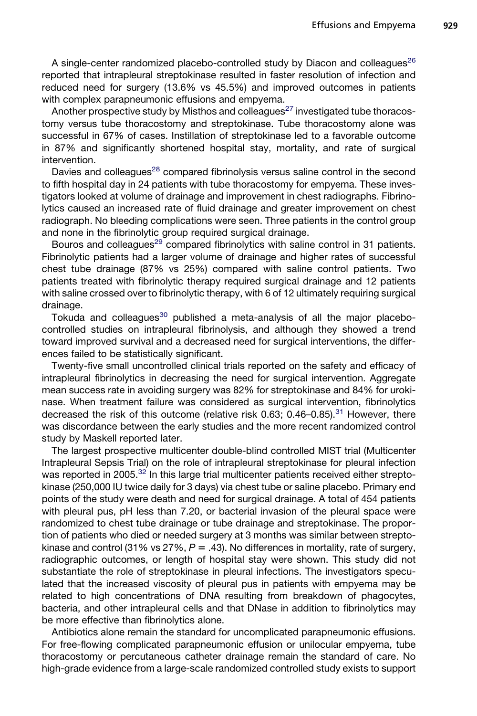A single-center randomized placebo-controlled study by Diacon and colleagues<sup>[26](#page-14-0)</sup> reported that intrapleural streptokinase resulted in faster resolution of infection and reduced need for surgery (13.6% vs 45.5%) and improved outcomes in patients with complex parapneumonic effusions and empyema.

Another prospective study by Misthos and colleagues<sup>[27](#page-14-0)</sup> investigated tube thoracostomy versus tube thoracostomy and streptokinase. Tube thoracostomy alone was successful in 67% of cases. Instillation of streptokinase led to a favorable outcome in 87% and significantly shortened hospital stay, mortality, and rate of surgical intervention.

Davies and colleagues<sup>[28](#page-14-0)</sup> compared fibrinolysis versus saline control in the second to fifth hospital day in 24 patients with tube thoracostomy for empyema. These investigators looked at volume of drainage and improvement in chest radiographs. Fibrinolytics caused an increased rate of fluid drainage and greater improvement on chest radiograph. No bleeding complications were seen. Three patients in the control group and none in the fibrinolytic group required surgical drainage.

Bouros and colleagues<sup>[29](#page-14-0)</sup> compared fibrinolytics with saline control in 31 patients. Fibrinolytic patients had a larger volume of drainage and higher rates of successful chest tube drainage (87% vs 25%) compared with saline control patients. Two patients treated with fibrinolytic therapy required surgical drainage and 12 patients with saline crossed over to fibrinolytic therapy, with 6 of 12 ultimately requiring surgical drainage.

Tokuda and colleagues<sup>[30](#page-14-0)</sup> published a meta-analysis of all the major placebocontrolled studies on intrapleural fibrinolysis, and although they showed a trend toward improved survival and a decreased need for surgical interventions, the differences failed to be statistically significant.

Twenty-five small uncontrolled clinical trials reported on the safety and efficacy of intrapleural fibrinolytics in decreasing the need for surgical intervention. Aggregate mean success rate in avoiding surgery was 82% for streptokinase and 84% for urokinase. When treatment failure was considered as surgical intervention, fibrinolytics decreased the risk of this outcome (relative risk 0.63; 0.46-0.85).<sup>[31](#page-14-0)</sup> However, there was discordance between the early studies and the more recent randomized control study by Maskell reported later.

The largest prospective multicenter double-blind controlled MIST trial (Multicenter Intrapleural Sepsis Trial) on the role of intrapleural streptokinase for pleural infection was reported in 2005.<sup>[32](#page-14-0)</sup> In this large trial multicenter patients received either streptokinase (250,000 IU twice daily for 3 days) via chest tube or saline placebo. Primary end points of the study were death and need for surgical drainage. A total of 454 patients with pleural pus, pH less than 7.20, or bacterial invasion of the pleural space were randomized to chest tube drainage or tube drainage and streptokinase. The proportion of patients who died or needed surgery at 3 months was similar between streptokinase and control (31% vs 27%,  $P = .43$ ). No differences in mortality, rate of surgery, radiographic outcomes, or length of hospital stay were shown. This study did not substantiate the role of streptokinase in pleural infections. The investigators speculated that the increased viscosity of pleural pus in patients with empyema may be related to high concentrations of DNA resulting from breakdown of phagocytes, bacteria, and other intrapleural cells and that DNase in addition to fibrinolytics may be more effective than fibrinolytics alone.

Antibiotics alone remain the standard for uncomplicated parapneumonic effusions. For free-flowing complicated parapneumonic effusion or unilocular empyema, tube thoracostomy or percutaneous catheter drainage remain the standard of care. No high-grade evidence from a large-scale randomized controlled study exists to support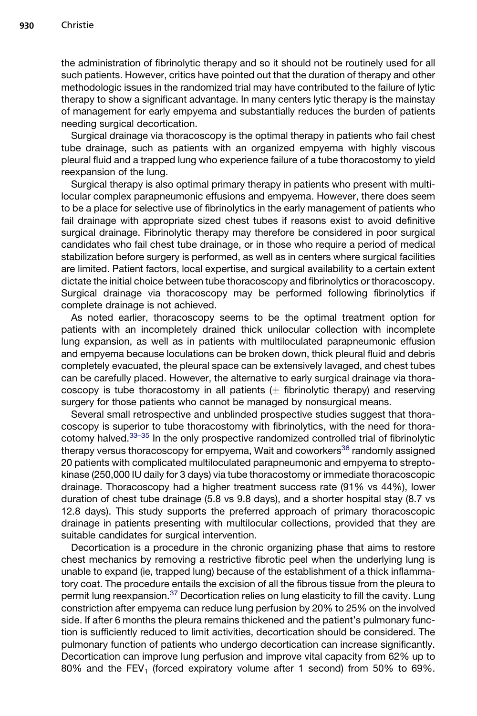the administration of fibrinolytic therapy and so it should not be routinely used for all such patients. However, critics have pointed out that the duration of therapy and other methodologic issues in the randomized trial may have contributed to the failure of lytic therapy to show a significant advantage. In many centers lytic therapy is the mainstay of management for early empyema and substantially reduces the burden of patients needing surgical decortication.

Surgical drainage via thoracoscopy is the optimal therapy in patients who fail chest tube drainage, such as patients with an organized empyema with highly viscous pleural fluid and a trapped lung who experience failure of a tube thoracostomy to yield reexpansion of the lung.

Surgical therapy is also optimal primary therapy in patients who present with multilocular complex parapneumonic effusions and empyema. However, there does seem to be a place for selective use of fibrinolytics in the early management of patients who fail drainage with appropriate sized chest tubes if reasons exist to avoid definitive surgical drainage. Fibrinolytic therapy may therefore be considered in poor surgical candidates who fail chest tube drainage, or in those who require a period of medical stabilization before surgery is performed, as well as in centers where surgical facilities are limited. Patient factors, local expertise, and surgical availability to a certain extent dictate the initial choice between tube thoracoscopy and fibrinolytics or thoracoscopy. Surgical drainage via thoracoscopy may be performed following fibrinolytics if complete drainage is not achieved.

As noted earlier, thoracoscopy seems to be the optimal treatment option for patients with an incompletely drained thick unilocular collection with incomplete lung expansion, as well as in patients with multiloculated parapneumonic effusion and empyema because loculations can be broken down, thick pleural fluid and debris completely evacuated, the pleural space can be extensively lavaged, and chest tubes can be carefully placed. However, the alternative to early surgical drainage via thoracoscopy is tube thoracostomy in all patients  $(\pm$  fibrinolytic therapy) and reserving surgery for those patients who cannot be managed by nonsurgical means.

Several small retrospective and unblinded prospective studies suggest that thoracoscopy is superior to tube thoracostomy with fibrinolytics, with the need for thoracotomy halved[.33–35](#page-14-0) In the only prospective randomized controlled trial of fibrinolytic therapy versus thoracoscopy for empyema, Wait and coworkers<sup>[36](#page-14-0)</sup> randomly assigned 20 patients with complicated multiloculated parapneumonic and empyema to streptokinase (250,000 IU daily for 3 days) via tube thoracostomy or immediate thoracoscopic drainage. Thoracoscopy had a higher treatment success rate (91% vs 44%), lower duration of chest tube drainage (5.8 vs 9.8 days), and a shorter hospital stay (8.7 vs 12.8 days). This study supports the preferred approach of primary thoracoscopic drainage in patients presenting with multilocular collections, provided that they are suitable candidates for surgical intervention.

Decortication is a procedure in the chronic organizing phase that aims to restore chest mechanics by removing a restrictive fibrotic peel when the underlying lung is unable to expand (ie, trapped lung) because of the establishment of a thick inflammatory coat. The procedure entails the excision of all the fibrous tissue from the pleura to permit lung reexpansion.<sup>[37](#page-14-0)</sup> Decortication relies on lung elasticity to fill the cavity. Lung constriction after empyema can reduce lung perfusion by 20% to 25% on the involved side. If after 6 months the pleura remains thickened and the patient's pulmonary function is sufficiently reduced to limit activities, decortication should be considered. The pulmonary function of patients who undergo decortication can increase significantly. Decortication can improve lung perfusion and improve vital capacity from 62% up to 80% and the FEV<sub>1</sub> (forced expiratory volume after 1 second) from 50% to 69%.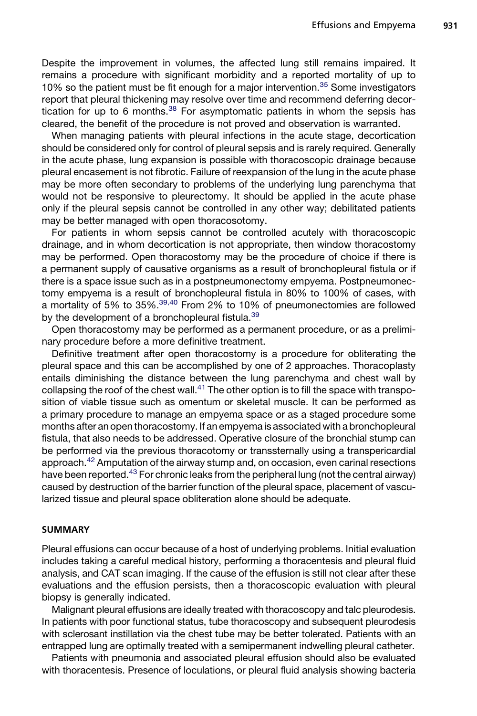Despite the improvement in volumes, the affected lung still remains impaired. It remains a procedure with significant morbidity and a reported mortality of up to 10% so the patient must be fit enough for a major intervention.<sup>[35](#page-14-0)</sup> Some investigators report that pleural thickening may resolve over time and recommend deferring decor-tication for up to 6 months.<sup>[38](#page-15-0)</sup> For asymptomatic patients in whom the sepsis has cleared, the benefit of the procedure is not proved and observation is warranted.

When managing patients with pleural infections in the acute stage, decortication should be considered only for control of pleural sepsis and is rarely required. Generally in the acute phase, lung expansion is possible with thoracoscopic drainage because pleural encasement is not fibrotic. Failure of reexpansion of the lung in the acute phase may be more often secondary to problems of the underlying lung parenchyma that would not be responsive to pleurectomy. It should be applied in the acute phase only if the pleural sepsis cannot be controlled in any other way; debilitated patients may be better managed with open thoracosotomy.

For patients in whom sepsis cannot be controlled acutely with thoracoscopic drainage, and in whom decortication is not appropriate, then window thoracostomy may be performed. Open thoracostomy may be the procedure of choice if there is a permanent supply of causative organisms as a result of bronchopleural fistula or if there is a space issue such as in a postpneumonectomy empyema. Postpneumonectomy empyema is a result of bronchopleural fistula in 80% to 100% of cases, with a mortality of 5% to 35%.[39,40](#page-15-0) From 2% to 10% of pneumonectomies are followed by the development of a bronchopleural fistula.<sup>[39](#page-15-0)</sup>

Open thoracostomy may be performed as a permanent procedure, or as a preliminary procedure before a more definitive treatment.

Definitive treatment after open thoracostomy is a procedure for obliterating the pleural space and this can be accomplished by one of 2 approaches. Thoracoplasty entails diminishing the distance between the lung parenchyma and chest wall by collapsing the roof of the chest wall. $41$  The other option is to fill the space with transposition of viable tissue such as omentum or skeletal muscle. It can be performed as a primary procedure to manage an empyema space or as a staged procedure some months after an open thoracostomy. If an empyema is associated with a bronchopleural fistula, that also needs to be addressed. Operative closure of the bronchial stump can be performed via the previous thoracotomy or transsternally using a transpericardial approach.[42](#page-15-0) Amputation of the airway stump and, on occasion, even carinal resections have been reported.<sup>[43](#page-15-0)</sup> For chronic leaks from the peripheral lung (not the central airway) caused by destruction of the barrier function of the pleural space, placement of vascularized tissue and pleural space obliteration alone should be adequate.

#### SUMMARY

Pleural effusions can occur because of a host of underlying problems. Initial evaluation includes taking a careful medical history, performing a thoracentesis and pleural fluid analysis, and CAT scan imaging. If the cause of the effusion is still not clear after these evaluations and the effusion persists, then a thoracoscopic evaluation with pleural biopsy is generally indicated.

Malignant pleural effusions are ideally treated with thoracoscopy and talc pleurodesis. In patients with poor functional status, tube thoracoscopy and subsequent pleurodesis with sclerosant instillation via the chest tube may be better tolerated. Patients with an entrapped lung are optimally treated with a semipermanent indwelling pleural catheter.

Patients with pneumonia and associated pleural effusion should also be evaluated with thoracentesis. Presence of loculations, or pleural fluid analysis showing bacteria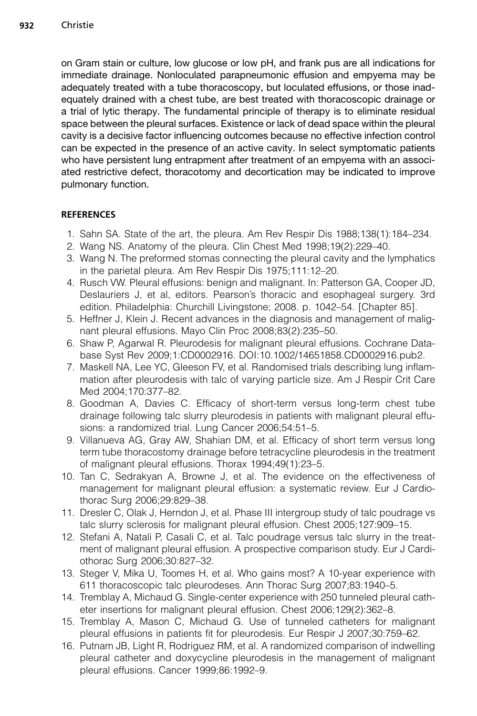<span id="page-13-0"></span>on Gram stain or culture, low glucose or low pH, and frank pus are all indications for immediate drainage. Nonloculated parapneumonic effusion and empyema may be adequately treated with a tube thoracoscopy, but loculated effusions, or those inadequately drained with a chest tube, are best treated with thoracoscopic drainage or a trial of lytic therapy. The fundamental principle of therapy is to eliminate residual space between the pleural surfaces. Existence or lack of dead space within the pleural cavity is a decisive factor influencing outcomes because no effective infection control can be expected in the presence of an active cavity. In select symptomatic patients who have persistent lung entrapment after treatment of an empyema with an associated restrictive defect, thoracotomy and decortication may be indicated to improve pulmonary function.

## **REFERENCES**

- 1. Sahn SA. State of the art, the pleura. Am Rev Respir Dis 1988;138(1):184–234.
- 2. Wang NS. Anatomy of the pleura. Clin Chest Med 1998;19(2):229–40.
- 3. Wang N. The preformed stomas connecting the pleural cavity and the lymphatics in the parietal pleura. Am Rev Respir Dis 1975;111:12–20.
- 4. Rusch VW. Pleural effusions: benign and malignant. In: Patterson GA, Cooper JD, Deslauriers J, et al, editors. Pearson's thoracic and esophageal surgery. 3rd edition. Philadelphia: Churchill Livingstone; 2008. p. 1042–54. [Chapter 85].
- 5. Heffner J, Klein J. Recent advances in the diagnosis and management of malignant pleural effusions. Mayo Clin Proc 2008;83(2):235–50.
- 6. Shaw P, Agarwal R. Pleurodesis for malignant pleural effusions. Cochrane Database Syst Rev 2009;1:CD0002916. DOI:10.1002/14651858.CD0002916.pub2.
- 7. Maskell NA, Lee YC, Gleeson FV, et al. Randomised trials describing lung inflammation after pleurodesis with talc of varying particle size. Am J Respir Crit Care Med 2004;170:377–82.
- 8. Goodman A, Davies C. Efficacy of short-term versus long-term chest tube drainage following talc slurry pleurodesis in patients with malignant pleural effusions: a randomized trial. Lung Cancer 2006;54:51–5.
- 9. Villanueva AG, Gray AW, Shahian DM, et al. Efficacy of short term versus long term tube thoracostomy drainage before tetracycline pleurodesis in the treatment of malignant pleural effusions. Thorax 1994;49(1):23–5.
- 10. Tan C, Sedrakyan A, Browne J, et al. The evidence on the effectiveness of management for malignant pleural effusion: a systematic review. Eur J Cardiothorac Surg 2006;29:829–38.
- 11. Dresler C, Olak J, Herndon J, et al. Phase III intergroup study of talc poudrage vs talc slurry sclerosis for malignant pleural effusion. Chest 2005;127:909–15.
- 12. Stefani A, Natali P, Casali C, et al. Talc poudrage versus talc slurry in the treatment of malignant pleural effusion. A prospective comparison study. Eur J Cardiothorac Surg 2006;30:827–32.
- 13. Steger V, Mika U, Toomes H, et al. Who gains most? A 10-year experience with 611 thoracoscopic talc pleurodeses. Ann Thorac Surg 2007;83:1940–5.
- 14. Tremblay A, Michaud G. Single-center experience with 250 tunneled pleural catheter insertions for malignant pleural effusion. Chest 2006;129(2):362–8.
- 15. Tremblay A, Mason C, Michaud G. Use of tunneled catheters for malignant pleural effusions in patients fit for pleurodesis. Eur Respir J 2007;30:759–62.
- 16. Putnam JB, Light R, Rodriguez RM, et al. A randomized comparison of indwelling pleural catheter and doxycycline pleurodesis in the management of malignant pleural effusions. Cancer 1999;86:1992–9.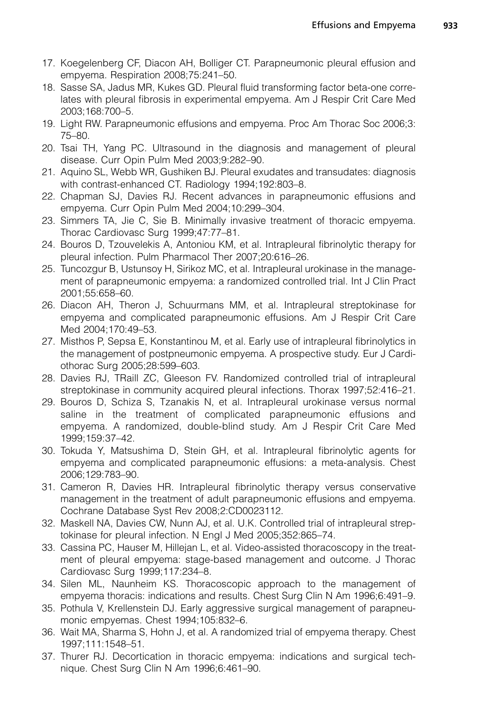- <span id="page-14-0"></span>17. Koegelenberg CF, Diacon AH, Bolliger CT. Parapneumonic pleural effusion and empyema. Respiration 2008;75:241–50.
- 18. Sasse SA, Jadus MR, Kukes GD. Pleural fluid transforming factor beta-one correlates with pleural fibrosis in experimental empyema. Am J Respir Crit Care Med 2003;168:700–5.
- 19. Light RW. Parapneumonic effusions and empyema. Proc Am Thorac Soc 2006;3: 75–80.
- 20. Tsai TH, Yang PC. Ultrasound in the diagnosis and management of pleural disease. Curr Opin Pulm Med 2003;9:282–90.
- 21. Aquino SL, Webb WR, Gushiken BJ. Pleural exudates and transudates: diagnosis with contrast-enhanced CT. Radiology 1994;192:803–8.
- 22. Chapman SJ, Davies RJ. Recent advances in parapneumonic effusions and empyema. Curr Opin Pulm Med 2004;10:299–304.
- 23. Simmers TA, Jie C, Sie B. Minimally invasive treatment of thoracic empyema. Thorac Cardiovasc Surg 1999;47:77–81.
- 24. Bouros D, Tzouvelekis A, Antoniou KM, et al. Intrapleural fibrinolytic therapy for pleural infection. Pulm Pharmacol Ther 2007;20:616–26.
- 25. Tuncozgur B, Ustunsoy H, Sirikoz MC, et al. Intrapleural urokinase in the management of parapneumonic empyema: a randomized controlled trial. Int J Clin Pract 2001;55:658–60.
- 26. Diacon AH, Theron J, Schuurmans MM, et al. Intrapleural streptokinase for empyema and complicated parapneumonic effusions. Am J Respir Crit Care Med 2004;170:49–53.
- 27. Misthos P, Sepsa E, Konstantinou M, et al. Early use of intrapleural fibrinolytics in the management of postpneumonic empyema. A prospective study. Eur J Cardiothorac Surg 2005;28:599–603.
- 28. Davies RJ, TRaill ZC, Gleeson FV. Randomized controlled trial of intrapleural streptokinase in community acquired pleural infections. Thorax 1997;52:416–21.
- 29. Bouros D, Schiza S, Tzanakis N, et al. Intrapleural urokinase versus normal saline in the treatment of complicated parapneumonic effusions and empyema. A randomized, double-blind study. Am J Respir Crit Care Med 1999;159:37–42.
- 30. Tokuda Y, Matsushima D, Stein GH, et al. Intrapleural fibrinolytic agents for empyema and complicated parapneumonic effusions: a meta-analysis. Chest 2006;129:783–90.
- 31. Cameron R, Davies HR. Intrapleural fibrinolytic therapy versus conservative management in the treatment of adult parapneumonic effusions and empyema. Cochrane Database Syst Rev 2008;2:CD0023112.
- 32. Maskell NA, Davies CW, Nunn AJ, et al. U.K. Controlled trial of intrapleural streptokinase for pleural infection. N Engl J Med 2005;352:865–74.
- 33. Cassina PC, Hauser M, Hillejan L, et al. Video-assisted thoracoscopy in the treatment of pleural empyema: stage-based management and outcome. J Thorac Cardiovasc Surg 1999;117:234–8.
- 34. Silen ML, Naunheim KS. Thoracoscopic approach to the management of empyema thoracis: indications and results. Chest Surg Clin N Am 1996;6:491–9.
- 35. Pothula V, Krellenstein DJ. Early aggressive surgical management of parapneumonic empyemas. Chest 1994;105:832–6.
- 36. Wait MA, Sharma S, Hohn J, et al. A randomized trial of empyema therapy. Chest 1997;111:1548–51.
- 37. Thurer RJ. Decortication in thoracic empyema: indications and surgical technique. Chest Surg Clin N Am 1996;6:461–90.